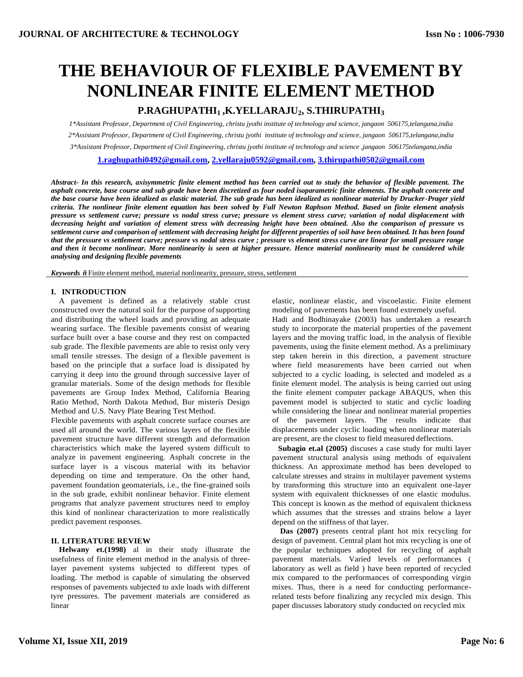# **THE BEHAVIOUR OF FLEXIBLE PAVEMENT BY NONLINEAR FINITE ELEMENT METHOD**

## **P.RAGHUPATHI1 ,K.YELLARAJU2, S.THIRUPATHI<sup>3</sup>**

*1\*Assistant Professor, Department of Civil Engineering, christu jyothi institute of technology and science, jangaon 506175,telangana,india 2\*Assistant Professor, Department of Civil Engineering, christu jyothi institute of technology and science, jangaon 506175,telangana,india 3\*Assistant Professor, Department of Civil Engineering, christu jyothi institute of technology and science ,jangaon 506175telangana,india*

**[1.raghupathi0492@gmail.com,](mailto:1.raghupathi0492@gmail.com) [2.yellaraju0592@gmail.com,](mailto:2.yellaraju0592@gmail.com) [3.thirupathi0502@gmail.com](mailto:3.thirupathi0502@gmail.com)**

*Abstract- In this research, axisymmetric finite element method has been carried out to study the behavior of flexible pavement. The asphalt concrete, base course and sub grade have been discretized as four noded isoparametric finite elements. The asphalt concrete and the base course have been idealized as elastic material. The sub grade has been idealized as nonlinear material by Drucker-Prager yield criteria. The nonlinear finite element equation has been solved by Full Newton Raphson Method. Based on finite element analysis pressure vs settlement curve; pressure vs nodal stress curve; pressure vs element stress curve; variation of nodal displacement with decreasing height and variation of element stress with decreasing height have been obtained. Also the comparison of pressure vs*  settlement curve and comparison of settlement with decreasing height for different properties of soil have been obtained. It has been found *that the pressure vs settlement curve; pressure vs nodal stress curve ; pressure vs element stress curve are linear for small pressure range and then it become nonlinear. More nonlinearity is seen at higher pressure. Hence material nonlinearity must be considered while analysing and designing flexible pavements*

*Keywords*  $\tilde{n}$  Finite element method, material nonlinearity, pressure, stress, settlement

#### **I. INTRODUCTION**

A pavement is defined as a relatively stable crust constructed over the natural soil for the purpose of supporting and distributing the wheel loads and providing an adequate wearing surface. The flexible pavements consist of wearing surface built over a base course and they rest on compacted sub grade. The flexible pavements are able to resist only very small tensile stresses. The design of a flexible pavement is based on the principle that a surface load is dissipated by carrying it deep into the ground through successive layer of granular materials. Some of the design methods for flexible pavements are Group Index Method, California Bearing Ratio Method, North Dakota Method, Bur misterís Design Method and U.S. Navy Plate Bearing Test Method.

Flexible pavements with asphalt concrete surface courses are used all around the world. The various layers of the flexible pavement structure have different strength and deformation characteristics which make the layered system difficult to analyze in pavement engineering. Asphalt concrete in the surface layer is a viscous material with its behavior depending on time and temperature. On the other hand, pavement foundation geomaterials, i.e., the fine-grained soils in the sub grade, exhibit nonlinear behavior. Finite element programs that analyze pavement structures need to employ this kind of nonlinear characterization to more realistically predict pavement responses.

#### **II. LITERATURE REVIEW**

**Helwany et.(1998)** al in their study illustrate the usefulness of finite element method in the analysis of threelayer pavement systems subjected to different types of loading. The method is capable of simulating the observed responses of pavements subjected to axle loads with different tyre pressures. The pavement materials are considered as linear

elastic, nonlinear elastic, and viscoelastic. Finite element modeling of pavements has been found extremely useful.

Hadi and Bodhinayake (2003) has undertaken a research study to incorporate the material properties of the pavement layers and the moving traffic load, in the analysis of flexible pavements, using the finite element method. As a preliminary step taken herein in this direction, a pavement structure where field measurements have been carried out when subjected to a cyclic loading, is selected and modeled as a finite element model. The analysis is being carried out using the finite element computer package ABAQUS, when this pavement model is subjected to static and cyclic loading while considering the linear and nonlinear material properties of the pavement layers. The results indicate that displacements under cyclic loading when nonlinear materials are present, are the closest to field measured deflections.

**Subagio et.al (2005)** discuses a case study for multi layer pavement structural analysis using methods of equivalent thickness. An approximate method has been developed to calculate stresses and strains in multilayer pavement systems by transforming this structure into an equivalent one-layer system with equivalent thicknesses of one elastic modulus. This concept is known as the method of equivalent thickness which assumes that the stresses and strains below a layer depend on the stiffness of that layer.

**Das (2007)** presents central plant hot mix recycling for design of pavement. Central plant hot mix recycling is one of the popular techniques adopted for recycling of asphalt pavement materials. Varied levels of performances ( laboratory as well as field ) have been reported of recycled mix compared to the performances of corresponding virgin mixes. Thus, there is a need for conducting performancerelated tests before finalizing any recycled mix design. This paper discusses laboratory study conducted on recycled mix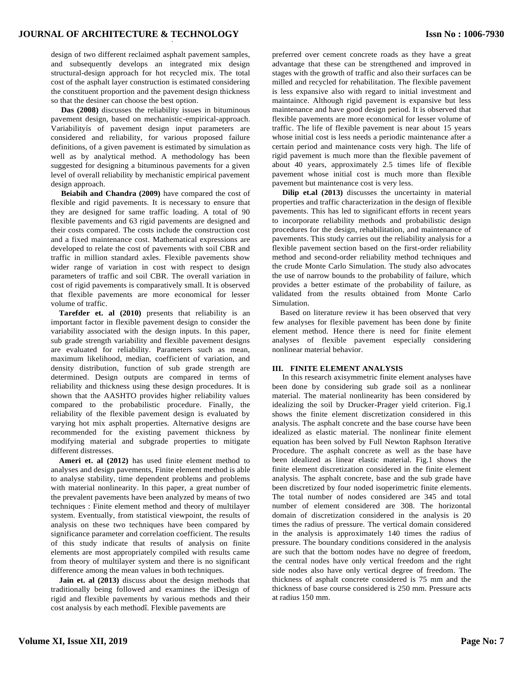design of two different reclaimed asphalt pavement samples, and subsequently develops an integrated mix design structural-design approach for hot recycled mix. The total cost of the asphalt layer construction is estimated considering the constituent proportion and the pavement design thickness so that the desiner can choose the best option.

**Das (2008)** discusses the reliability issues in bituminous pavement design, based on mechanistic-empirical-approach. Variabilityís of pavement design input parameters are considered and reliability, for various proposed failure definitions, of a given pavement is estimated by simulation as well as by analytical method. A methodology has been suggested for designing a bituminous pavements for a given level of overall reliability by mechanistic empirical pavement design approach.

**Beiabih and Chandra (2009)** have compared the cost of flexible and rigid pavements. It is necessary to ensure that they are designed for same traffic loading. A total of 90 flexible pavements and 63 rigid pavements are designed and their costs compared. The costs include the construction cost and a fixed maintenance cost. Mathematical expressions are developed to relate the cost of pavements with soil CBR and traffic in million standard axles. Flexible pavements show wider range of variation in cost with respect to design parameters of traffic and soil CBR. The overall variation in cost of rigid pavements is comparatively small. It is observed that flexible pavements are more economical for lesser volume of traffic.

**Tarefder et. al (2010)** presents that reliability is an important factor in flexible pavement design to consider the variability associated with the design inputs. In this paper, sub grade strength variability and flexible pavement designs are evaluated for reliability. Parameters such as mean, maximum likelihood, median, coefficient of variation, and density distribution, function of sub grade strength are determined. Design outputs are compared in terms of reliability and thickness using these design procedures. It is shown that the AASHTO provides higher reliability values compared to the probabilistic procedure. Finally, the reliability of the flexible pavement design is evaluated by varying hot mix asphalt properties. Alternative designs are recommended for the existing pavement thickness by modifying material and subgrade properties to mitigate different distresses.

**Ameri et. al (2012)** has used finite element method to analyses and design pavements, Finite element method is able to analyse stability, time dependent problems and problems with material nonlinearity. In this paper, a great number of the prevalent pavements have been analyzed by means of two techniques : Finite element method and theory of multilayer system. Eventually, from statistical viewpoint, the results of analysis on these two techniques have been compared by significance parameter and correlation coefficient. The results of this study indicate that results of analysis on finite elements are most appropriately compiled with results came from theory of multilayer system and there is no significant difference among the mean values in both techniques.

**Jain et. al (2013)** discuss about the design methods that traditionally being followed and examines the ìDesign of rigid and flexible pavements by various methods and their cost analysis by each methodî. Flexible pavements are

preferred over cement concrete roads as they have a great advantage that these can be strengthened and improved in stages with the growth of traffic and also their surfaces can be milled and recycled for rehabilitation. The flexible pavement is less expansive also with regard to initial investment and maintaince. Although rigid pavement is expansive but less maintenance and have good design period. It is observed that flexible pavements are more economical for lesser volume of traffic. The life of flexible pavement is near about 15 years whose initial cost is less needs a periodic maintenance after a certain period and maintenance costs very high. The life of rigid pavement is much more than the flexible pavement of about 40 years, approximately 2.5 times life of flexible pavement whose initial cost is much more than flexible pavement but maintenance cost is very less.

**Dilip et.al (2013)** discusses the uncertainty in material properties and traffic characterization in the design of flexible pavements. This has led to significant efforts in recent years to incorporate reliability methods and probabilistic design procedures for the design, rehabilitation, and maintenance of pavements. This study carries out the reliability analysis for a flexible pavement section based on the first-order reliability method and second-order reliability method techniques and the crude Monte Carlo Simulation. The study also advocates the use of narrow bounds to the probability of failure, which provides a better estimate of the probability of failure, as validated from the results obtained from Monte Carlo Simulation.

Based on literature review it has been observed that very few analyses for flexible pavement has been done by finite element method. Hence there is need for finite element analyses of flexible pavement especially considering nonlinear material behavior.

### **III. FINITE ELEMENT ANALYSIS**

In this research axisymmetric finite element analyses have been done by considering sub grade soil as a nonlinear material. The material nonlinearity has been considered by idealizing the soil by Drucker-Prager yield criterion. Fig.1 shows the finite element discretization considered in this analysis. The asphalt concrete and the base course have been idealized as elastic material. The nonlinear finite element equation has been solved by Full Newton Raphson Iterative Procedure. The asphalt concrete as well as the base have been idealized as linear elastic material. Fig.1 shows the finite element discretization considered in the finite element analysis. The asphalt concrete, base and the sub grade have been discretized by four noded isoperimetric finite elements. The total number of nodes considered are 345 and total number of element considered are 308. The horizontal domain of discretization considered in the analysis is 20 times the radius of pressure. The vertical domain considered in the analysis is approximately 140 times the radius of pressure. The boundary conditions considered in the analysis are such that the bottom nodes have no degree of freedom, the central nodes have only vertical freedom and the right side nodes also have only vertical degree of freedom. The thickness of asphalt concrete considered is 75 mm and the thickness of base course considered is 250 mm. Pressure acts at radius 150 mm.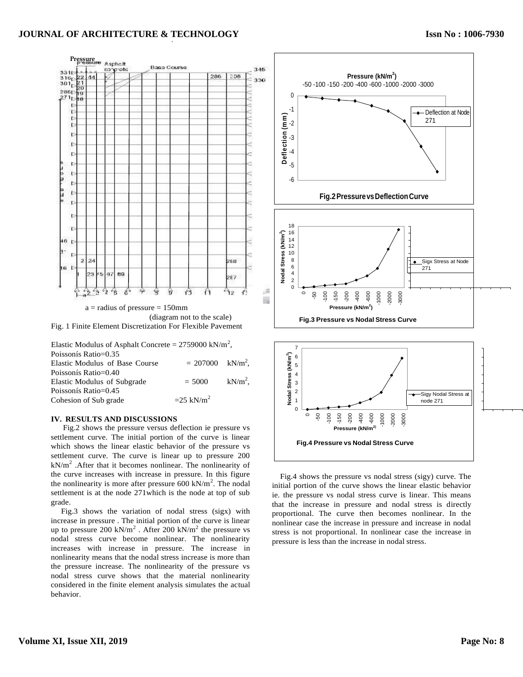#### *.* **JOURNAL OF ARCHITECTURE & TECHNOLOGY**



| Elastic Modulus of Asphalt Concrete = $2759000 \text{ kN/m}^2$ , |                             |  |
|------------------------------------------------------------------|-----------------------------|--|
| Poissonís Ratio=0.35                                             |                             |  |
| Elastic Modulus of Base Course                                   | $= 207000 \text{ kN/m}^2$ , |  |
| Poissonís Ratio=0.40                                             |                             |  |
| Elastic Modulus of Subgrade                                      | $= 5000 \text{ kN/m}^2$ ,   |  |
| Poissonís Ratio=0.45                                             |                             |  |
| Cohesion of Sub grade                                            | $=25$ kN/m <sup>2</sup>     |  |

#### **IV. RESULTS AND DISCUSSIONS**

Fig.2 shows the pressure versus deflection ie pressure vs settlement curve. The initial portion of the curve is linear which shows the linear elastic behavior of the pressure vs settlement curve. The curve is linear up to pressure 200  $kN/m<sup>2</sup>$ . After that it becomes nonlinear. The nonlinearity of the curve increases with increase in pressure. In this figure the nonlinearity is more after pressure  $600 \text{ kN/m}^2$ . The nodal settlement is at the node 271which is the node at top of sub grade.

Fig.3 shows the variation of nodal stress (sigx) with increase in pressure . The initial portion of the curve is linear up to pressure  $200 \text{ kN/m}^2$ . After  $200 \text{ kN/m}^2$  the pressure vs nodal stress curve become nonlinear. The nonlinearity increases with increase in pressure. The increase in nonlinearity means that the nodal stress increase is more than the pressure increase. The nonlinearity of the pressure vs nodal stress curve shows that the material nonlinearity considered in the finite element analysis simulates the actual behavior.



Fig.4 shows the pressure vs nodal stress (sigy) curve. The initial portion of the curve shows the linear elastic behavior ie. the pressure vs nodal stress curve is linear. This means that the increase in pressure and nodal stress is directly proportional. The curve then becomes nonlinear. In the nonlinear case the increase in pressure and increase in nodal stress is not proportional. In nonlinear case the increase in pressure is less than the increase in nodal stress.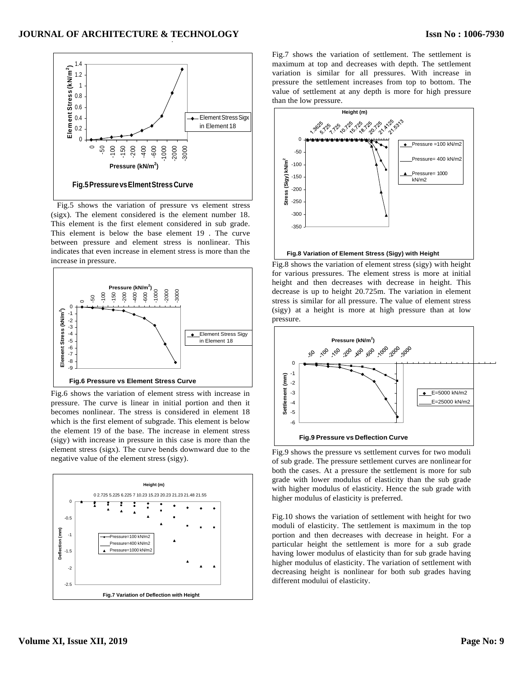

Fig.5 shows the variation of pressure vs element stress (sigx). The element considered is the element number 18. This element is the first element considered in sub grade. This element is below the base element 19 . The curve between pressure and element stress is nonlinear. This indicates that even increase in element stress is more than the



Fig.6 shows the variation of element stress with increase in pressure. The curve is linear in initial portion and then it becomes nonlinear. The stress is considered in element 18 which is the first element of subgrade. This element is below the element 19 of the base. The increase in element stress (sigy) with increase in pressure in this case is more than the element stress (sigx). The curve bends downward due to the negative value of the element stress (sigy).



Fig.7 shows the variation of settlement. The settlement is maximum at top and decreases with depth. The settlement variation is similar for all pressures. With increase in pressure the settlement increases from top to bottom. The value of settlement at any depth is more for high pressure than the low pressure.



increase in pressure.<br>Fig.8 shows the variation of element stress (sigy) with height for various pressures. The element stress is more at initial height and then decreases with decrease in height. This decrease is up to height 20.725m. The variation in element stress is similar for all pressure. The value of element stress (sigy) at a height is more at high pressure than at low pressure.



Fig.9 shows the pressure vs settlement curves for two moduli of sub grade. The pressure settlement curves are nonlinearfor both the cases. At a pressure the settlement is more for sub grade with lower modulus of elasticity than the sub grade with higher modulus of elasticity. Hence the sub grade with higher modulus of elasticity is preferred.

Fig.10 shows the variation of settlement with height for two moduli of elasticity. The settlement is maximum in the top portion and then decreases with decrease in height. For a particular height the settlement is more for a sub grade having lower modulus of elasticity than for sub grade having higher modulus of elasticity. The variation of settlement with decreasing height is nonlinear for both sub grades having different modului of elasticity.